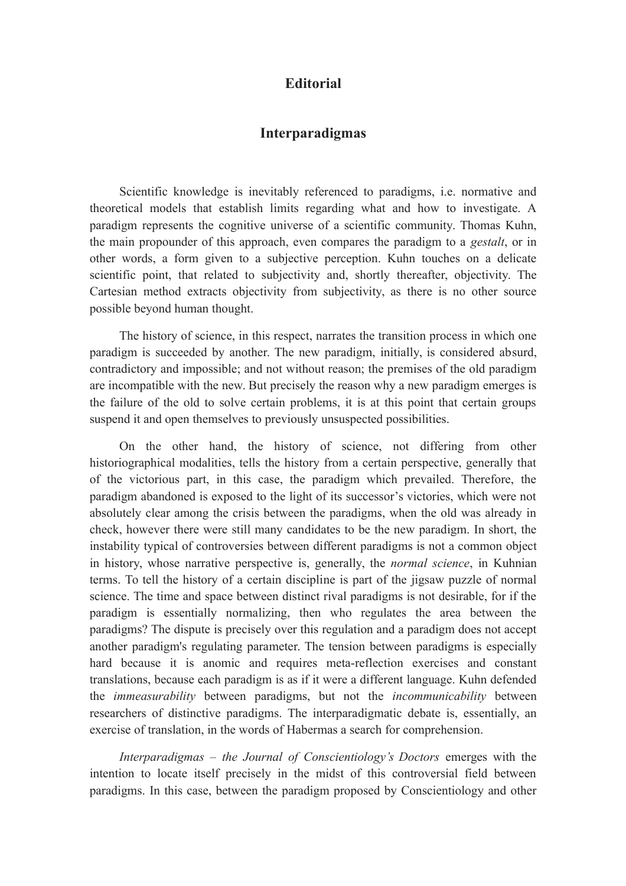## **Editorial**

## **Interparadigmas**

Scientific knowledge is inevitably referenced to paradigms, i.e. normative and theoretical models that establish limits regarding what and how to investigate. A paradigm represents the cognitive universe of a scientific community. Thomas Kuhn, the main propounder of this approach, even compares the paradigm to a *gestalt*, or in other words, a form given to a subjective perception. Kuhn touches on a delicate scientific point, that related to subjectivity and, shortly thereafter, objectivity. The Cartesian method extracts objectivity from subjectivity, as there is no other source possible beyond human thought.

The history of science, in this respect, narrates the transition process in which one paradigm is succeeded by another. The new paradigm, initially, is considered absurd, contradictory and impossible; and not without reason; the premises of the old paradigm are incompatible with the new. But precisely the reason why a new paradigm emerges is the failure of the old to solve certain problems, it is at this point that certain groups suspend it and open themselves to previously unsuspected possibilities.

On the other hand, the history of science, not differing from other historiographical modalities, tells the history from a certain perspective, generally that of the victorious part, in this case, the paradigm which prevailed. Therefore, the paradigm abandoned is exposed to the light of its successor's victories, which were not absolutely clear among the crisis between the paradigms, when the old was already in check, however there were still many candidates to be the new paradigm. In short, the instability typical of controversies between different paradigms is not a common object in history, whose narrative perspective is, generally, the *normal science*, in Kuhnian terms. To tell the history of a certain discipline is part of the jigsaw puzzle of normal science. The time and space between distinct rival paradigms is not desirable, for if the paradigm is essentially normalizing, then who regulates the area between the paradigms? The dispute is precisely over this regulation and a paradigm does not accept another paradigm's regulating parameter. The tension between paradigms is especially hard because it is anomic and requires meta-reflection exercises and constant translations, because each paradigm is as if it were a different language. Kuhn defended the *immeasurability* between paradigms, but not the *incommunicability* between researchers of distinctive paradigms. The interparadigmatic debate is, essentially, an exercise of translation, in the words of Habermas a search for comprehension.

*Interparadigmas – the Journal of Conscientiology's Doctors* emerges with the intention to locate itself precisely in the midst of this controversial field between paradigms. In this case, between the paradigm proposed by Conscientiology and other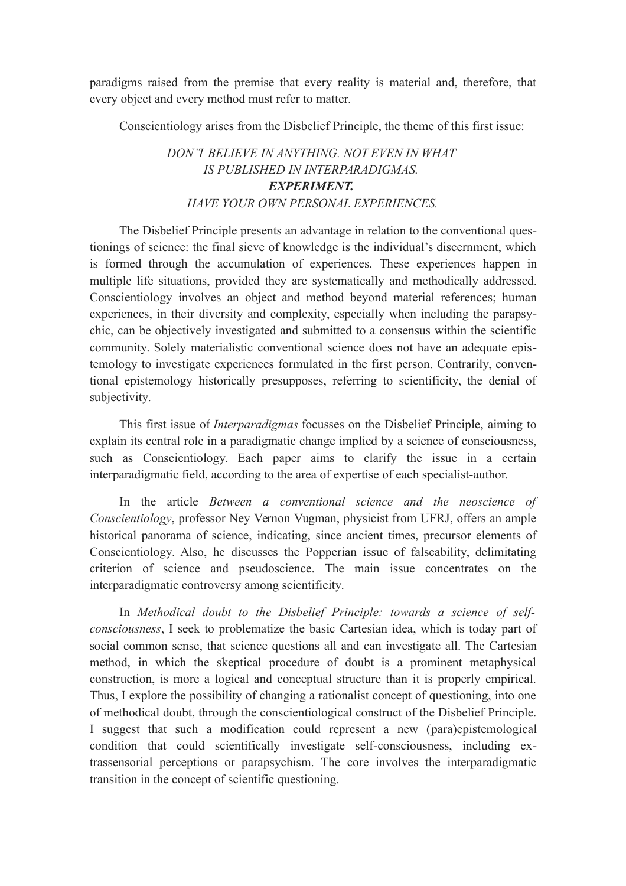paradigms raised from the premise that every reality is material and, therefore, that every object and every method must refer to matter.

Conscientiology arises from the Disbelief Principle, the theme of this first issue:

## *DON'T BELIEVE IN ANYTHING. NOT EVEN IN WHAT IS PUBLISHED IN INTERPARADIGMAS. EXPERIMENT. HAVE YOUR OWN PERSONAL EXPERIENCES.*

The Disbelief Principle presents an advantage in relation to the conventional questionings of science: the final sieve of knowledge is the individual's discernment, which is formed through the accumulation of experiences. These experiences happen in multiple life situations, provided they are systematically and methodically addressed. Conscientiology involves an object and method beyond material references; human experiences, in their diversity and complexity, especially when including the parapsychic, can be objectively investigated and submitted to a consensus within the scientific community. Solely materialistic conventional science does not have an adequate epistemology to investigate experiences formulated in the first person. Contrarily, conventional epistemology historically presupposes, referring to scientificity, the denial of subjectivity.

This first issue of *Interparadigmas* focusses on the Disbelief Principle, aiming to explain its central role in a paradigmatic change implied by a science of consciousness, such as Conscientiology. Each paper aims to clarify the issue in a certain interparadigmatic field, according to the area of expertise of each specialist-author.

In the article *Between a conventional science and the neoscience of Conscientiology*, professor Ney Vernon Vugman, physicist from UFRJ, offers an ample historical panorama of science, indicating, since ancient times, precursor elements of Conscientiology. Also, he discusses the Popperian issue of falseability, delimitating criterion of science and pseudoscience. The main issue concentrates on the interparadigmatic controversy among scientificity.

In *Methodical doubt to the Disbelief Principle: towards a science of selfconsciousness*, I seek to problematize the basic Cartesian idea, which is today part of social common sense, that science questions all and can investigate all. The Cartesian method, in which the skeptical procedure of doubt is a prominent metaphysical construction, is more a logical and conceptual structure than it is properly empirical. Thus, I explore the possibility of changing a rationalist concept of questioning, into one of methodical doubt, through the conscientiological construct of the Disbelief Principle. I suggest that such a modification could represent a new (para)epistemological condition that could scientifically investigate self-consciousness, including extrassensorial perceptions or parapsychism. The core involves the interparadigmatic transition in the concept of scientific questioning.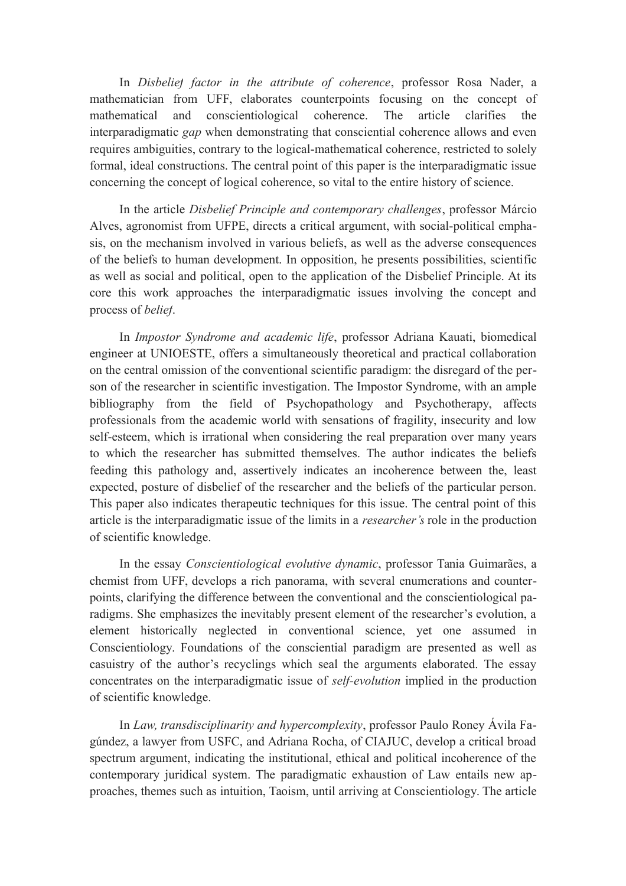In *Disbelief factor in the attribute of coherence*, professor Rosa Nader, a mathematician from UFF, elaborates counterpoints focusing on the concept of mathematical and conscientiological coherence. The article clarifies the interparadigmatic *gap* when demonstrating that consciential coherence allows and even requires ambiguities, contrary to the logical-mathematical coherence, restricted to solely formal, ideal constructions. The central point of this paper is the interparadigmatic issue concerning the concept of logical coherence, so vital to the entire history of science.

In the article *Disbelief Principle and contemporary challenges*, professor Márcio Alves, agronomist from UFPE, directs a critical argument, with social-political emphasis, on the mechanism involved in various beliefs, as well as the adverse consequences of the beliefs to human development. In opposition, he presents possibilities, scientific as well as social and political, open to the application of the Disbelief Principle. At its core this work approaches the interparadigmatic issues involving the concept and process of *belief*.

In *Impostor Syndrome and academic life*, professor Adriana Kauati, biomedical engineer at UNIOESTE, offers a simultaneously theoretical and practical collaboration on the central omission of the conventional scientific paradigm: the disregard of the person of the researcher in scientific investigation. The Impostor Syndrome, with an ample bibliography from the field of Psychopathology and Psychotherapy, affects professionals from the academic world with sensations of fragility, insecurity and low self-esteem, which is irrational when considering the real preparation over many years to which the researcher has submitted themselves. The author indicates the beliefs feeding this pathology and, assertively indicates an incoherence between the, least expected, posture of disbelief of the researcher and the beliefs of the particular person. This paper also indicates therapeutic techniques for this issue. The central point of this article is the interparadigmatic issue of the limits in a *researcher's* role in the production of scientific knowledge.

In the essay *Conscientiological evolutive dynamic*, professor Tania Guimarães, a chemist from UFF, develops a rich panorama, with several enumerations and counterpoints, clarifying the difference between the conventional and the conscientiological paradigms. She emphasizes the inevitably present element of the researcher's evolution, a element historically neglected in conventional science, yet one assumed in Conscientiology. Foundations of the consciential paradigm are presented as well as casuistry of the author's recyclings which seal the arguments elaborated. The essay concentrates on the interparadigmatic issue of *self-evolution* implied in the production of scientific knowledge.

In *Law, transdisciplinarity and hypercomplexity*, professor Paulo Roney Ávila Fagúndez, a lawyer from USFC, and Adriana Rocha, of CIAJUC, develop a critical broad spectrum argument, indicating the institutional, ethical and political incoherence of the contemporary juridical system. The paradigmatic exhaustion of Law entails new approaches, themes such as intuition, Taoism, until arriving at Conscientiology. The article